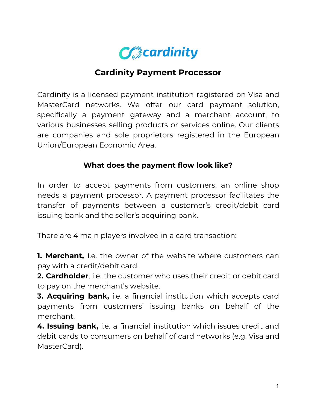

## **Cardinity Payment Processor**

Cardinity is a licensed payment institution registered on Visa and MasterCard networks. We offer our card payment solution, specifically a payment gateway and a merchant account, to various businesses selling products or services online. Our clients are companies and sole proprietors registered in the European Union/European Economic Area.

## **What does the payment flow look like?**

In order to accept payments from customers, an online shop needs a payment processor. A payment processor facilitates the transfer of payments between a customer's credit/debit card issuing bank and the seller's acquiring bank.

There are 4 main players involved in a card transaction:

**1. Merchant,** i.e. the owner of the website where customers can pay with a credit/debit card.

**2. Cardholder**, i.e. the customer who uses their credit or debit card to pay on the merchant's website.

**3. Acquiring bank,** i.e. a financial institution which accepts card payments from customers' issuing banks on behalf of the merchant.

**4. Issuing bank,** i.e. a financial institution which issues credit and debit cards to consumers on behalf of card networks (e.g. Visa and MasterCard).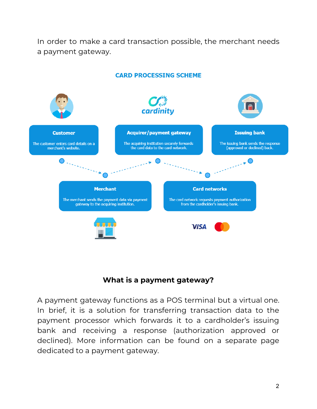In order to make a card transaction possible, the merchant needs a payment gateway.



## **CARD PROCESSING SCHEME**



A payment gateway functions as a POS terminal but a virtual one. In brief, it is a solution for transferring transaction data to the payment processor which forwards it to a cardholder's issuing bank and receiving a response (authorization approved or declined). More information can be found on a separate page dedicated to a payment gateway.